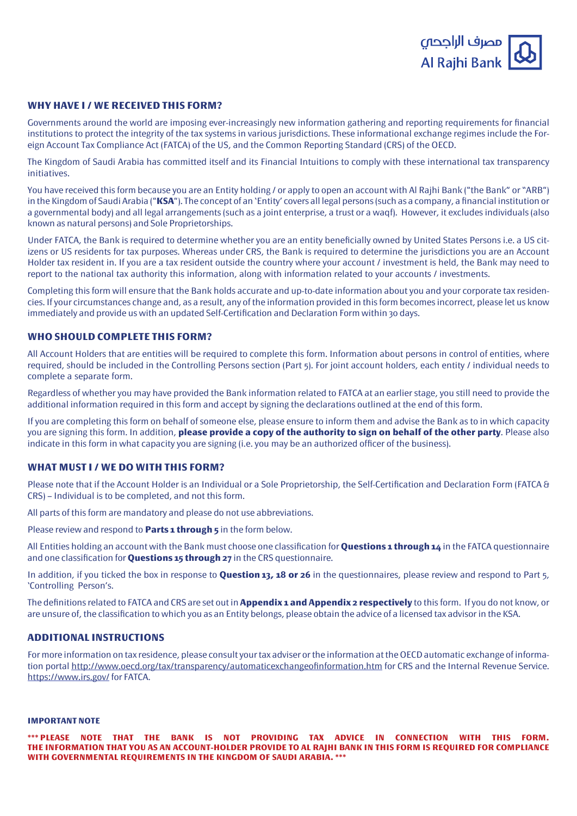

### **WHY HAVE I / WE RECEIVED THIS FORM?**

Governments around the world are imposing ever-increasingly new information gathering and reporting requirements for financial eign Account Tax Compliance Act (FATCA) of the US, and the Common Reporting Standard (CRS) of the OECD. institutions to protect the integrity of the tax systems in various jurisdictions. These informational exchange regimes include the For-

The Kingdom of Saudi Arabia has committed itself and its Financial Intuitions to comply with these international tax transparency .initiatives

You have received this form because you are an Entity holding / or apply to open an account with Al Rajhi Bank ("the Bank" or "ARB") in the Kingdom of Saudi Arabia ("**KSA"**). The concept of an 'Entity' covers all legal persons (such as a company, a financial institution or a governmental body) and all legal arrangements (such as a joint enterprise, a trust or a wagf). However, it excludes individuals (also known as natural persons) and Sole Proprietorships.

izens or US residents for tax purposes. Whereas under CRS, the Bank is required to determine the jurisdictions you are an Account Under FATCA, the Bank is required to determine whether you are an entity beneficially owned by United States Persons i.e. a US cit-Holder tax resident in. If you are a tax resident outside the country where your account / investment is held, the Bank may need to report to the national tax authority this information, along with information related to your accounts / investments.

cies. If your circumstances change and, as a result, any of the information provided in this form becomes incorrect, please let us know Completing this form will ensure that the Bank holds accurate and up-to-date information about you and your corporate tax residenimmediately and provide us with an updated Self-Certification and Declaration Form within 30 days.

# **WHO SHOULD COMPLETE THIS FORM?**

All Account Holders that are entities will be required to complete this form. Information about persons in control of entities, where required, should be included in the Controlling Persons section (Part 5). For joint account holders, each entity / individual needs to complete a separate form.

Regardless of whether you may have provided the Bank information related to FATCA at an earlier stage, you still need to provide the additional information required in this form and accept by signing the declarations outlined at the end of this form.

If you are completing this form on behalf of someone else, please ensure to inform them and advise the Bank as to in which capacity you are signing this form. In addition, **please provide a copy of the authority to sign on behalf of the other party**. Please also indicate in this form in what capacity you are signing (i.e. you may be an authorized officer of the business).

### **WHAT MUST I / WE DO WITH THIS FORM?**

Please note that if the Account Holder is an Individual or a Sole Proprietorship, the Self-Certification and Declaration Form (FATCA & CRS) – Individual is to be completed, and not this form.

All parts of this form are mandatory and please do not use abbreviations.

Please review and respond to **Parts 1 through 5** in the form below.

All Entities holding an account with the Bank must choose one classification for **Questions 1 through 14** in the FATCA questionnaire and one classification for **Questions 15 through 27** in the CRS questionnaire.

In addition, if you ticked the box in response to **Question 13, 18 or 26** in the questionnaires, please review and respond to Part 5, 'Controlling Person's.

The definitions related to FATCA and CRS are set out in **Appendix 1 and Appendix 2 respectively** to this form. If you do not know, or are unsure of, the classification to which you as an Entity belongs, please obtain the advice of a licensed tax advisor in the KSA.

### **ADDITIONAL INSTRUCTIONS**

tion portal http://www.oecd.org/tax/transparency/automaticexchangeofinformation.htm for CRS and the Internal Revenue Service. For more information on tax residence, please consult your tax adviser or the information at the OECD automatic exchange of informahttps://www.irs.gov/ for FATCA.

#### **IMPORTANT NOTE**

\*\*\* PLEASE NOTE THAT THE BANK IS NOT PROVIDING TAX ADVICE IN CONNECTION WITH THIS FORM. THE INFORMATION THAT YOU AS AN ACCOUNT-HOLDER PROVIDE TO AL RAJHI BANK IN THIS FORM IS REQUIRED FOR COMPLIANCE **WITH GOVERNMENTAL REQUIREMENTS IN THE KINGDOM OF SAUDI ARABIA. \*\*\***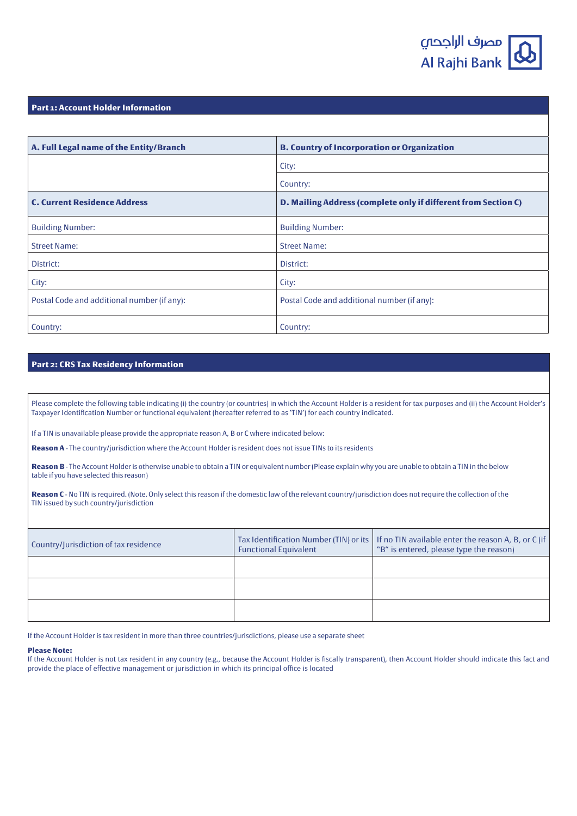

#### **Part 1: Account Holder Information**

| A. Full Legal name of the Entity/Branch     | <b>B. Country of Incorporation or Organization</b>             |
|---------------------------------------------|----------------------------------------------------------------|
|                                             | City:                                                          |
|                                             | Country:                                                       |
| <b>C. Current Residence Address</b>         | D. Mailing Address (complete only if different from Section C) |
| <b>Building Number:</b>                     | <b>Building Number:</b>                                        |
| <b>Street Name:</b>                         | <b>Street Name:</b>                                            |
| District:                                   | District:                                                      |
| City:                                       | City:                                                          |
| Postal Code and additional number (if any): | Postal Code and additional number (if any):                    |
| Country:                                    | Country:                                                       |

### **Part 2: CRS Tax Residency Information**

Please complete the following table indicating (i) the country (or countries) in which the Account Holder is a resident for tax purposes and (ii) the Account Holder's Taxpayer Identification Number or functional equivalent (hereafter referred to as 'TIN') for each country indicated.

If a TIN is unavailable please provide the appropriate reason A, B or C where indicated below:

Reason A - The country/jurisdiction where the Account Holder is resident does not issue TINs to its residents

Reason B - The Account Holder is otherwise unable to obtain a TIN or equivalent number (Please explain why you are unable to obtain a TIN in the below table if you have selected this reason)

Reason C - No TIN is required. (Note. Only select this reason if the domestic law of the relevant country/jurisdiction does not require the collection of the TIN issued by such country/jurisdiction

| Country/Jurisdiction of tax residence | <b>Functional Equivalent</b> | Tax Identification Number (TIN) or its   If no TIN available enter the reason A, B, or C (if<br>"B" is entered, please type the reason) |
|---------------------------------------|------------------------------|-----------------------------------------------------------------------------------------------------------------------------------------|
|                                       |                              |                                                                                                                                         |
|                                       |                              |                                                                                                                                         |
|                                       |                              |                                                                                                                                         |

If the Account Holder is tax resident in more than three countries/jurisdictions, please use a separate sheet

#### **Please Note:**

If the Account Holder is not tax resident in any country (e.g., because the Account Holder is fiscally transparent), then Account Holder should indicate this fact and provide the place of effective management or jurisdiction in which its principal office is located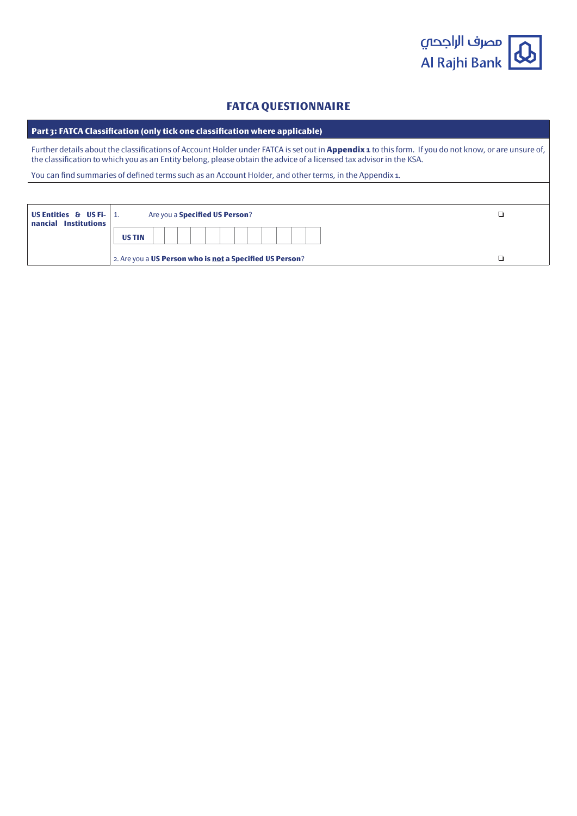

# **FATCA QUESTIONNAIRE**

Part 3: FATCA Classification (only tick one classification where applicable)

Further details about the classifications of Account Holder under FATCA is set out in **Appendix 1** to this form. If you do not know, or are unsure of, the classification to which you as an Entity belong, please obtain the advice of a licensed tax advisor in the KSA.

You can find summaries of defined terms such as an Account Holder, and other terms, in the Appendix 1.

| US Entities $\theta$ US Fi- 1.<br><b>Institutions</b><br>nancial |                                                          | Are you a <b>Specified US Person</b> ? |  |  |  |  |  |  |
|------------------------------------------------------------------|----------------------------------------------------------|----------------------------------------|--|--|--|--|--|--|
|                                                                  | <b>USTIN</b>                                             |                                        |  |  |  |  |  |  |
|                                                                  | 2. Are you a US Person who is not a Specified US Person? |                                        |  |  |  |  |  |  |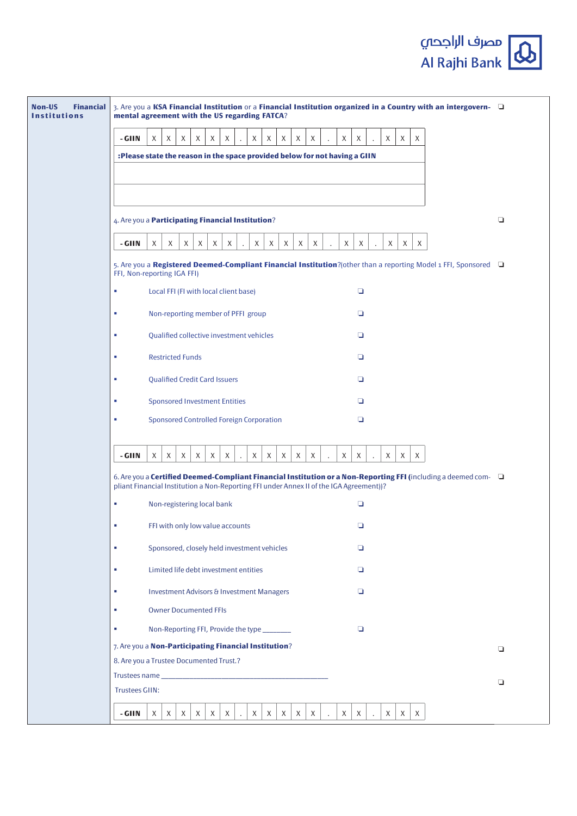| <b>Non-US</b><br><b>Financial</b><br><b>Institutions</b> | 3. Are you a KSA Financial Institution or a Financial Institution organized in a Country with an intergovern-<br>mental agreement with the US regarding FATCA?                                           |                                                                            |                                             |   |                                |  |        |   |   |   |                           |         |   |  |   |                      |   |   |   |  |  |   |
|----------------------------------------------------------|----------------------------------------------------------------------------------------------------------------------------------------------------------------------------------------------------------|----------------------------------------------------------------------------|---------------------------------------------|---|--------------------------------|--|--------|---|---|---|---------------------------|---------|---|--|---|----------------------|---|---|---|--|--|---|
|                                                          | - GIIN<br>X<br>X<br>X<br>X<br>X<br>X<br>X<br>X<br>X<br>X<br>X<br>X<br>X<br>X<br>X<br>X                                                                                                                   |                                                                            |                                             |   |                                |  |        |   |   |   |                           |         |   |  |   |                      |   |   |   |  |  |   |
|                                                          |                                                                                                                                                                                                          | :Please state the reason in the space provided below for not having a GIIN |                                             |   |                                |  |        |   |   |   |                           |         |   |  |   |                      |   |   |   |  |  |   |
|                                                          |                                                                                                                                                                                                          |                                                                            |                                             |   |                                |  |        |   |   |   |                           |         |   |  |   |                      |   |   |   |  |  |   |
|                                                          |                                                                                                                                                                                                          |                                                                            |                                             |   |                                |  |        |   |   |   |                           |         |   |  |   |                      |   |   |   |  |  |   |
|                                                          | 4. Are you a <b>Participating Financial Institution</b> ?                                                                                                                                                |                                                                            |                                             |   |                                |  |        |   |   |   |                           |         |   |  |   | о                    |   |   |   |  |  |   |
|                                                          | - GIIN                                                                                                                                                                                                   | X                                                                          | X<br>X                                      | X | X<br>X                         |  | X      | X | X |   | X<br>X                    |         | X |  | X | $\ddot{\phantom{0}}$ | X | X | X |  |  |   |
|                                                          | 5. Are you a Registered Deemed-Compliant Financial Institution?(other than a reporting Model 1 FFI, Sponsored $\Box$<br>FFI, Non-reporting IGA FFI)                                                      |                                                                            |                                             |   |                                |  |        |   |   |   |                           |         |   |  |   |                      |   |   |   |  |  |   |
|                                                          | $\Box$<br>Local FFI (FI with local client base)<br>×                                                                                                                                                     |                                                                            |                                             |   |                                |  |        |   |   |   |                           |         |   |  |   |                      |   |   |   |  |  |   |
|                                                          | Non-reporting member of PFFI group<br>□<br>×                                                                                                                                                             |                                                                            |                                             |   |                                |  |        |   |   |   |                           |         |   |  |   |                      |   |   |   |  |  |   |
|                                                          | Qualified collective investment vehicles<br>$\Box$<br><b>CO</b>                                                                                                                                          |                                                                            |                                             |   |                                |  |        |   |   |   |                           |         |   |  |   |                      |   |   |   |  |  |   |
|                                                          | <b>Restricted Funds</b><br>$\Box$<br>×                                                                                                                                                                   |                                                                            |                                             |   |                                |  |        |   |   |   |                           |         |   |  |   |                      |   |   |   |  |  |   |
|                                                          | <b>Qualified Credit Card Issuers</b><br>o<br>×                                                                                                                                                           |                                                                            |                                             |   |                                |  |        |   |   |   |                           |         |   |  |   |                      |   |   |   |  |  |   |
|                                                          | <b>Sponsored Investment Entities</b><br>□<br>×                                                                                                                                                           |                                                                            |                                             |   |                                |  |        |   |   |   |                           |         |   |  |   |                      |   |   |   |  |  |   |
|                                                          | <b>Sponsored Controlled Foreign Corporation</b><br>o<br>×                                                                                                                                                |                                                                            |                                             |   |                                |  |        |   |   |   |                           |         |   |  |   |                      |   |   |   |  |  |   |
|                                                          | - GIIN                                                                                                                                                                                                   | X                                                                          | $\chi$<br>X                                 | X | $\boldsymbol{\mathsf{X}}$<br>X |  | $\chi$ | X | X | X | $\chi$                    |         | X |  | X |                      | X | X | X |  |  |   |
|                                                          | 6. Are you a Certified Deemed-Compliant Financial Institution or a Non-Reporting FFI (including a deemed com-<br>pliant Financial Institution a Non-Reporting FFI under Annex II of the IGA Agreement))? |                                                                            |                                             |   |                                |  |        |   |   |   |                           |         |   |  |   |                      |   |   |   |  |  |   |
|                                                          | Non-registering local bank<br>o<br>×.                                                                                                                                                                    |                                                                            |                                             |   |                                |  |        |   |   |   |                           |         |   |  |   |                      |   |   |   |  |  |   |
|                                                          | ×                                                                                                                                                                                                        |                                                                            | FFI with only low value accounts            |   |                                |  |        |   |   |   |                           |         |   |  | o |                      |   |   |   |  |  |   |
|                                                          | ٠                                                                                                                                                                                                        |                                                                            | Sponsored, closely held investment vehicles |   |                                |  |        |   |   |   |                           |         |   |  | o |                      |   |   |   |  |  |   |
|                                                          | ×                                                                                                                                                                                                        |                                                                            | Limited life debt investment entities       |   |                                |  |        |   |   |   |                           |         |   |  | o |                      |   |   |   |  |  |   |
|                                                          | ×                                                                                                                                                                                                        |                                                                            | Investment Advisors & Investment Managers   |   |                                |  |        |   |   |   |                           |         |   |  | o |                      |   |   |   |  |  |   |
|                                                          | ×.                                                                                                                                                                                                       |                                                                            | <b>Owner Documented FFIs</b>                |   |                                |  |        |   |   |   |                           |         |   |  |   |                      |   |   |   |  |  |   |
|                                                          | ×.                                                                                                                                                                                                       |                                                                            | Non-Reporting FFI, Provide the type _______ |   |                                |  |        |   |   |   |                           |         |   |  | o |                      |   |   |   |  |  |   |
|                                                          | 7. Are you a Non-Participating Financial Institution?<br>8. Are you a Trustee Documented Trust.?                                                                                                         |                                                                            |                                             |   |                                |  |        |   |   |   |                           | о       |   |  |   |                      |   |   |   |  |  |   |
|                                                          | <b>Trustees GIIN:</b>                                                                                                                                                                                    |                                                                            |                                             |   |                                |  |        |   |   |   |                           |         |   |  |   |                      |   |   |   |  |  | о |
|                                                          | - GIIN                                                                                                                                                                                                   | X                                                                          | X<br>X                                      | X | X<br>X                         |  | X      | X | X | X | $\boldsymbol{\mathsf{X}}$ |         | X |  | X |                      | X | X | X |  |  |   |
|                                                          |                                                                                                                                                                                                          |                                                                            |                                             |   |                                |  |        |   |   |   |                           | $\cdot$ |   |  |   |                      |   |   |   |  |  |   |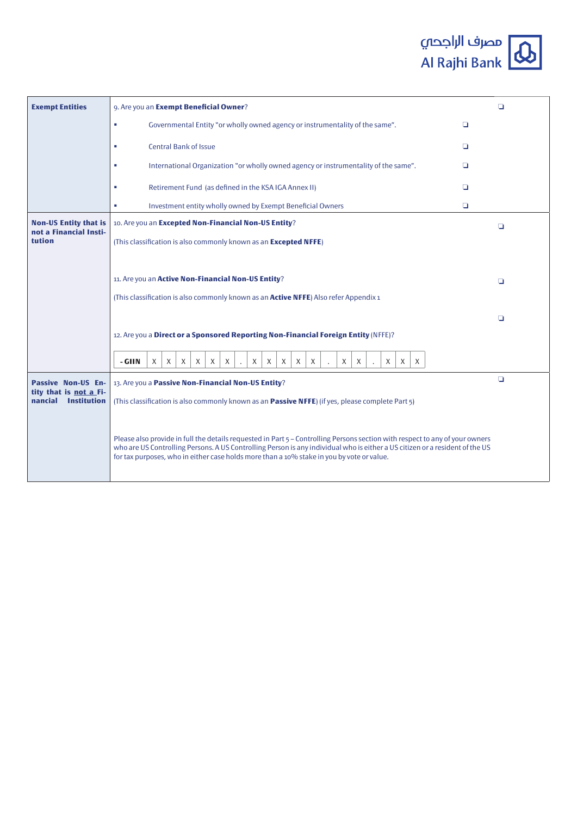| <b>Exempt Entities</b>                                  | 9. Are you an Exempt Beneficial Owner?                                                                                                                                                                                                                                                                                                                    | Q      |
|---------------------------------------------------------|-----------------------------------------------------------------------------------------------------------------------------------------------------------------------------------------------------------------------------------------------------------------------------------------------------------------------------------------------------------|--------|
|                                                         | Governmental Entity "or wholly owned agency or instrumentality of the same".<br>×<br>$\Box$                                                                                                                                                                                                                                                               |        |
|                                                         | <b>Central Bank of Issue</b><br>$\Box$<br>×                                                                                                                                                                                                                                                                                                               |        |
|                                                         | International Organization "or wholly owned agency or instrumentality of the same".<br>o<br>×                                                                                                                                                                                                                                                             |        |
|                                                         | Retirement Fund (as defined in the KSA IGA Annex II)<br>$\Box$<br>×                                                                                                                                                                                                                                                                                       |        |
|                                                         | Investment entity wholly owned by Exempt Beneficial Owners<br>$\Box$<br>×.                                                                                                                                                                                                                                                                                |        |
| <b>Non-US Entity that is</b><br>not a Financial Insti-  | 10. Are you an Excepted Non-Financial Non-US Entity?                                                                                                                                                                                                                                                                                                      | o      |
| tution                                                  | (This classification is also commonly known as an Excepted NFFE)                                                                                                                                                                                                                                                                                          |        |
|                                                         |                                                                                                                                                                                                                                                                                                                                                           |        |
|                                                         | 11. Are you an Active Non-Financial Non-US Entity?                                                                                                                                                                                                                                                                                                        | o      |
|                                                         | (This classification is also commonly known as an <b>Active NFFE</b> ) Also refer Appendix 1                                                                                                                                                                                                                                                              |        |
|                                                         |                                                                                                                                                                                                                                                                                                                                                           | $\Box$ |
|                                                         | 12. Are you a Direct or a Sponsored Reporting Non-Financial Foreign Entity (NFFE)?                                                                                                                                                                                                                                                                        |        |
|                                                         | $\mathsf{X}$<br>- GIIN<br>$\times$<br>X<br>X<br>X<br>X<br>X<br>X<br>X<br>X<br>X<br>$\times$<br>X<br>X<br>X<br>X                                                                                                                                                                                                                                           |        |
| Passive Non-US En-                                      | 13. Are you a Passive Non-Financial Non-US Entity?                                                                                                                                                                                                                                                                                                        | $\Box$ |
| tity that is not a Fi-<br>nancial<br><b>Institution</b> | (This classification is also commonly known as an Passive NFFE) (if yes, please complete Part 5)                                                                                                                                                                                                                                                          |        |
|                                                         | Please also provide in full the details requested in Part 5 – Controlling Persons section with respect to any of your owners<br>who are US Controlling Persons. A US Controlling Person is any individual who is either a US citizen or a resident of the US<br>for tax purposes, who in either case holds more than a 10% stake in you by vote or value. |        |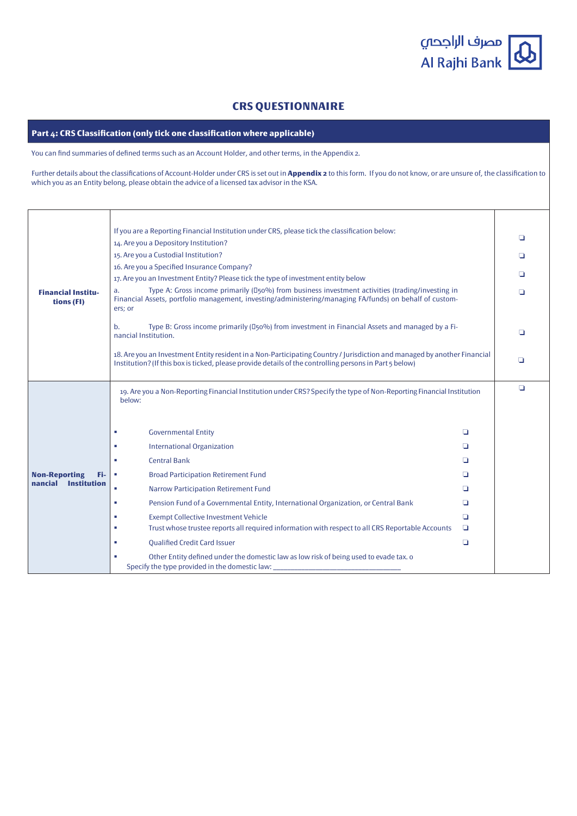مصرف الراجحى Al Rajhi Bank  $\mathbf{\alpha}$ 

# **CRS QUESTIONNAIRE**

Part 4: CRS Classification (only tick one classification where applicable)

You can find summaries of defined terms such as an Account Holder, and other terms, in the Appendix 2.

Further details about the classifications of Account-Holder under CRS is set out in **Appendix 2** to this form. If you do not know, or are unsure of, the classification to which you as an Entity belong, please obtain the advice of a licensed tax advisor in the KSA.

|                                         | If you are a Reporting Financial Institution under CRS, please tick the classification below:                                                                                                                                       |        | ◘      |  |  |  |  |  |
|-----------------------------------------|-------------------------------------------------------------------------------------------------------------------------------------------------------------------------------------------------------------------------------------|--------|--------|--|--|--|--|--|
|                                         | 14. Are you a Depository Institution?                                                                                                                                                                                               |        |        |  |  |  |  |  |
|                                         | 15. Are you a Custodial Institution?                                                                                                                                                                                                |        | ◘      |  |  |  |  |  |
|                                         | 16. Are you a Specified Insurance Company?                                                                                                                                                                                          |        | ◘      |  |  |  |  |  |
|                                         | 17. Are you an Investment Entity? Please tick the type of investment entity below                                                                                                                                                   |        |        |  |  |  |  |  |
| <b>Financial Institu-</b><br>tions (FI) | Type A: Gross income primarily (D50%) from business investment activities (trading/investing in<br>a.<br>Financial Assets, portfolio management, investing/administering/managing FA/funds) on behalf of custom-<br>ers; or         |        | ❏      |  |  |  |  |  |
|                                         | Type B: Gross income primarily (D <sub>50</sub> %) from investment in Financial Assets and managed by a Fi-<br>b.<br>nancial Institution.                                                                                           |        | ◘      |  |  |  |  |  |
|                                         | 18. Are you an Investment Entity resident in a Non-Participating Country / Jurisdiction and managed by another Financial<br>Institution? (If this box is ticked, please provide details of the controlling persons in Part 5 below) |        |        |  |  |  |  |  |
|                                         | 19. Are you a Non-Reporting Financial Institution under CRS? Specify the type of Non-Reporting Financial Institution<br>below:                                                                                                      |        | $\Box$ |  |  |  |  |  |
|                                         | <b>Governmental Entity</b><br>٠                                                                                                                                                                                                     | ▫      |        |  |  |  |  |  |
|                                         | <b>International Organization</b><br>п                                                                                                                                                                                              | ◘      |        |  |  |  |  |  |
|                                         | <b>Central Bank</b><br>٠                                                                                                                                                                                                            | ▫      |        |  |  |  |  |  |
| <b>Non-Reporting</b><br>Fi-             | <b>Broad Participation Retirement Fund</b><br>٠                                                                                                                                                                                     | ▫      |        |  |  |  |  |  |
| nancial Institution                     | <b>Narrow Participation Retirement Fund</b><br>٠                                                                                                                                                                                    | ◘      |        |  |  |  |  |  |
|                                         | Pension Fund of a Governmental Entity, International Organization, or Central Bank<br>×                                                                                                                                             | o      |        |  |  |  |  |  |
|                                         | <b>Exempt Collective Investment Vehicle</b><br>٠                                                                                                                                                                                    | ▫      |        |  |  |  |  |  |
|                                         | Trust whose trustee reports all required information with respect to all CRS Reportable Accounts<br>٠                                                                                                                               | o      |        |  |  |  |  |  |
|                                         | <b>Oualified Credit Card Issuer</b><br>٠                                                                                                                                                                                            | $\Box$ |        |  |  |  |  |  |
|                                         | Other Entity defined under the domestic law as low risk of being used to evade tax. o<br>٠<br>Specify the type provided in the domestic law:                                                                                        |        |        |  |  |  |  |  |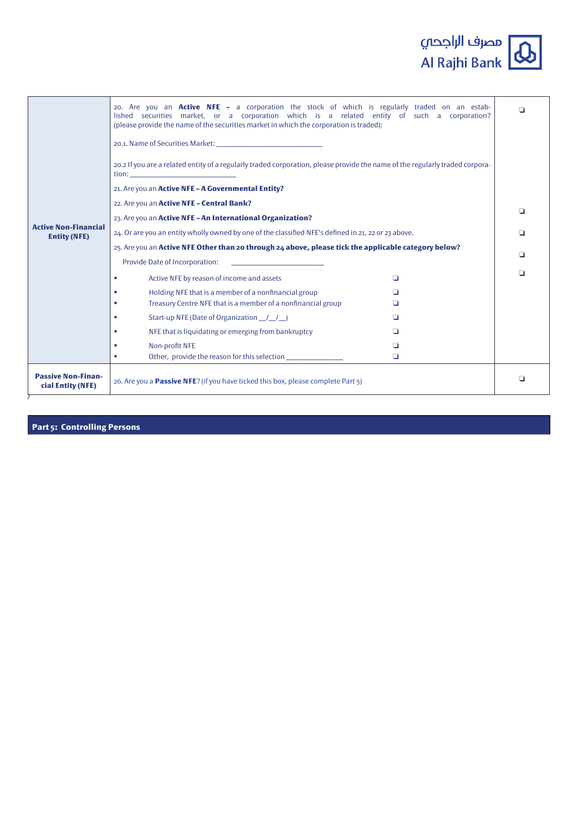

|                                                | 20. Are you an <b>Active NFE</b> - a corporation the stock of which is regularly traded on an estab-<br>lished securities market, or a corporation which is a related entity of such a corporation?<br>(please provide the name of the securities market in which the corporation is traded): |   |  |  |  |  |  |  |  |  |
|------------------------------------------------|-----------------------------------------------------------------------------------------------------------------------------------------------------------------------------------------------------------------------------------------------------------------------------------------------|---|--|--|--|--|--|--|--|--|
|                                                | 20.2 If you are a related entity of a regularly traded corporation, please provide the name of the regularly traded corpora-<br>21. Are you an Active NFE - A Governmental Entity?                                                                                                            |   |  |  |  |  |  |  |  |  |
|                                                | 22. Are you an Active NFE - Central Bank?                                                                                                                                                                                                                                                     |   |  |  |  |  |  |  |  |  |
|                                                | 23. Are you an Active NFE - An International Organization?                                                                                                                                                                                                                                    | ⊔ |  |  |  |  |  |  |  |  |
| <b>Active Non-Financial</b>                    |                                                                                                                                                                                                                                                                                               |   |  |  |  |  |  |  |  |  |
| <b>Entity (NFE)</b>                            | 24. Or are you an entity wholly owned by one of the classified NFE's defined in 21, 22 or 23 above.                                                                                                                                                                                           |   |  |  |  |  |  |  |  |  |
|                                                | 25. Are you an Active NFE Other than 20 through 24 above, please tick the applicable category below?                                                                                                                                                                                          |   |  |  |  |  |  |  |  |  |
|                                                | Provide Date of Incorporation:                                                                                                                                                                                                                                                                |   |  |  |  |  |  |  |  |  |
|                                                | Active NFE by reason of income and assets<br>n<br>٠                                                                                                                                                                                                                                           | ◘ |  |  |  |  |  |  |  |  |
|                                                | Holding NFE that is a member of a nonfinancial group<br>H                                                                                                                                                                                                                                     |   |  |  |  |  |  |  |  |  |
|                                                | Treasury Centre NFE that is a member of a nonfinancial group<br>п                                                                                                                                                                                                                             |   |  |  |  |  |  |  |  |  |
|                                                | Start-up NFE (Date of Organization 1/1)<br>п<br>H                                                                                                                                                                                                                                             |   |  |  |  |  |  |  |  |  |
|                                                | NFE that is liquidating or emerging from bankruptcy<br>п<br>H                                                                                                                                                                                                                                 |   |  |  |  |  |  |  |  |  |
|                                                | Non-profit NFE<br>п                                                                                                                                                                                                                                                                           |   |  |  |  |  |  |  |  |  |
|                                                | Other, provide the reason for this selection _______________<br>❏<br>٠                                                                                                                                                                                                                        |   |  |  |  |  |  |  |  |  |
| <b>Passive Non-Finan-</b><br>cial Entity (NFE) | 26. Are you a <b>Passive NFE?</b> (if you have ticked this box, please complete Part 5)                                                                                                                                                                                                       | ◘ |  |  |  |  |  |  |  |  |

**Part 5: Controlling Persons**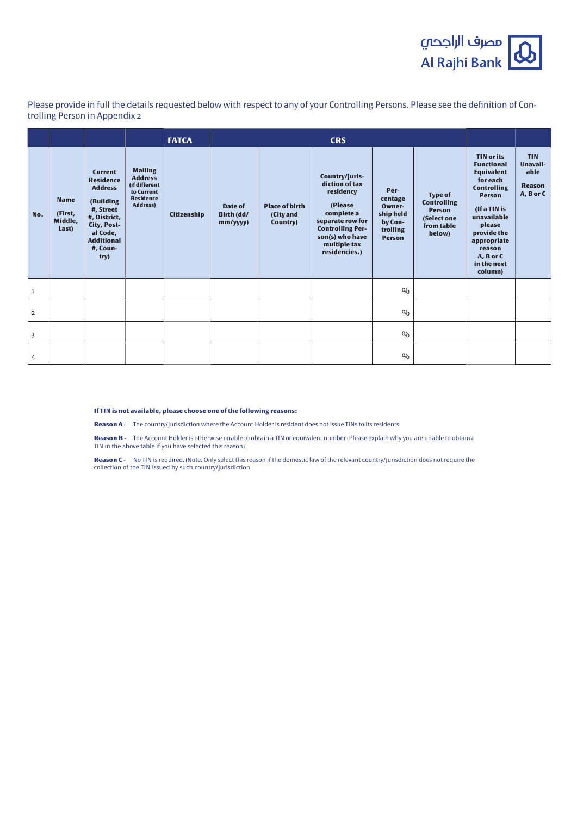

Please provide in full the details requested below with respect to any of your Controlling Persons. Please see the definition of Con-<br>trolling Person in Appendix 2

|                         |                                            |                                                                                                                                                                    |                                                                                                        | <b>FATCA</b> |                                  |                                                | <b>CRS</b>                                                                                                                                                                |                                                                                |                                                                                              |                                                                                                                                                                                                                                        |                                                              |
|-------------------------|--------------------------------------------|--------------------------------------------------------------------------------------------------------------------------------------------------------------------|--------------------------------------------------------------------------------------------------------|--------------|----------------------------------|------------------------------------------------|---------------------------------------------------------------------------------------------------------------------------------------------------------------------------|--------------------------------------------------------------------------------|----------------------------------------------------------------------------------------------|----------------------------------------------------------------------------------------------------------------------------------------------------------------------------------------------------------------------------------------|--------------------------------------------------------------|
| No.                     | <b>Name</b><br>(First,<br>Middle,<br>Last) | <b>Current</b><br><b>Residence</b><br><b>Address</b><br>(Building<br>#, Street<br>#, District,<br>City, Post-<br>al Code,<br><b>Additional</b><br>#, Coun-<br>try) | <b>Mailing</b><br><b>Address</b><br>(if different<br>to Current<br><b>Residence</b><br><b>Address)</b> | Citizenship  | Date of<br>Birth (dd/<br>mm/yyy) | <b>Place of birth</b><br>(City and<br>Country) | Country/juris-<br>diction of tax<br>residency<br>(Please<br>complete a<br>separate row for<br><b>Controlling Per-</b><br>son(s) who have<br>multiple tax<br>residencies.) | Per-<br>centage<br>Owner-<br>ship held<br>by Con-<br>trolling<br><b>Person</b> | <b>Type of</b><br><b>Controlling</b><br><b>Person</b><br>(Select one<br>from table<br>below) | <b>TIN or its</b><br><b>Functional</b><br><b>Equivalent</b><br>for each<br><b>Controlling</b><br><b>Person</b><br>(If a TIN is<br>unavailable<br>please<br>provide the<br>appropriate<br>reason<br>A, B or C<br>in the next<br>column) | <b>TIN</b><br>Unavail-<br>able<br><b>Reason</b><br>A, B or C |
| $\mathbf{1}$            |                                            |                                                                                                                                                                    |                                                                                                        |              |                                  |                                                |                                                                                                                                                                           | 0/0                                                                            |                                                                                              |                                                                                                                                                                                                                                        |                                                              |
| $\overline{2}$          |                                            |                                                                                                                                                                    |                                                                                                        |              |                                  |                                                |                                                                                                                                                                           | 0/0                                                                            |                                                                                              |                                                                                                                                                                                                                                        |                                                              |
| $\overline{\mathbf{3}}$ |                                            |                                                                                                                                                                    |                                                                                                        |              |                                  |                                                |                                                                                                                                                                           | 0/0                                                                            |                                                                                              |                                                                                                                                                                                                                                        |                                                              |
| 4                       |                                            |                                                                                                                                                                    |                                                                                                        |              |                                  |                                                |                                                                                                                                                                           | 0/0                                                                            |                                                                                              |                                                                                                                                                                                                                                        |                                                              |

**If TIN is not available, please choose one of the following reasons:** 

Reason A - The country/jurisdiction where the Account Holder is resident does not issue TINs to its residents

Reason B - The Account Holder is otherwise unable to obtain a TIN or equivalent number (Please explain why you are unable to obtain a TIN in the above table if you have selected this reason)

Reason C- No TIN is required. (Note. Only select this reason if the domestic law of the relevant country/jurisdiction does not require the collection of the TIN issued by such country/jurisdiction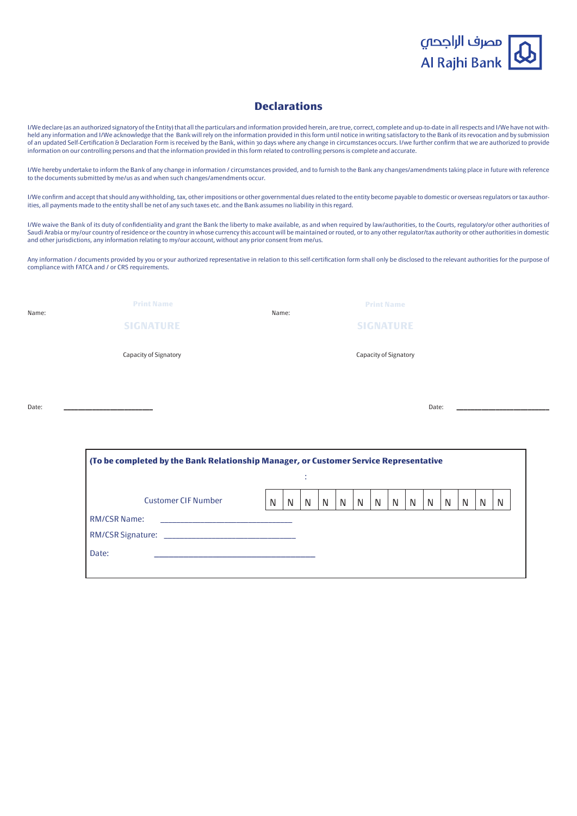

# **Declarations**

held any information and I/We acknowledge that the Bank will rely on the information provided in this form until notice in writing satisfactory to the Bank of its revocation and by submission I/We declare (as an authorized signatory of the Entity) that all the particulars and information provided herein, are true, correct, complete and up-to-date in all respects and I/We have not withof an updated Self-Certification & Declaration Form is received by the Bank, within 30 days where any change in circumstances occurs. I/we further confirm that we are authorized to provide information on our controlling persons and that the information provided in this form related to controlling persons is complete and accurate.

I/We hereby undertake to inform the Bank of any change in information / circumstances provided, and to furnish to the Bank any changes/amendments taking place in future with reference to the documents submitted by me/us as and when such changes/amendments occur.

I/We confirm and accept that should any withholding, tax, other impositions or other governmental dues related to the entity become payable to domestic or overseas regulators or tax author-<br>ities, all payments made to the

I/We waive the Bank of its duty of confidentiality and grant the Bank the liberty to make available, as and when required by law/authorities, to the Courts, regulatory/or other authorities of Saudi Arabia or my/our country of residence or the country in whose currency this account will be maintained or routed, or to any other regulator/tax authority or other authorities in domestic and other jurisdictions, any information relating to my/our account, without any prior consent from me/us.

Any information / documents provided by you or your authorized representative in relation to this self-certification form shall only be disclosed to the relevant authorities for the purpose of compliance with FATCA and / or CRS requirements.

| Name: | <b>Print Name</b>     | Name: | <b>Print Name</b>     |
|-------|-----------------------|-------|-----------------------|
|       | <b>SIGNATURE</b>      |       | <b>SIGNATURE</b>      |
|       | Capacity of Signatory |       | Capacity of Signatory |
|       |                       |       |                       |

(To be completed by the Bank Relationship Manager, or Customer Service Representative

\_\_\_\_\_\_\_\_\_\_\_\_\_\_\_\_\_\_\_\_\_\_\_\_\_\_\_\_\_\_\_\_\_ :Date

:

N N N N N N N N N N N N N N Number CIF Customer

| Date: | Date. |
|-------|-------|
|       |       |

RM/CSR Name: RM/CSR Signature: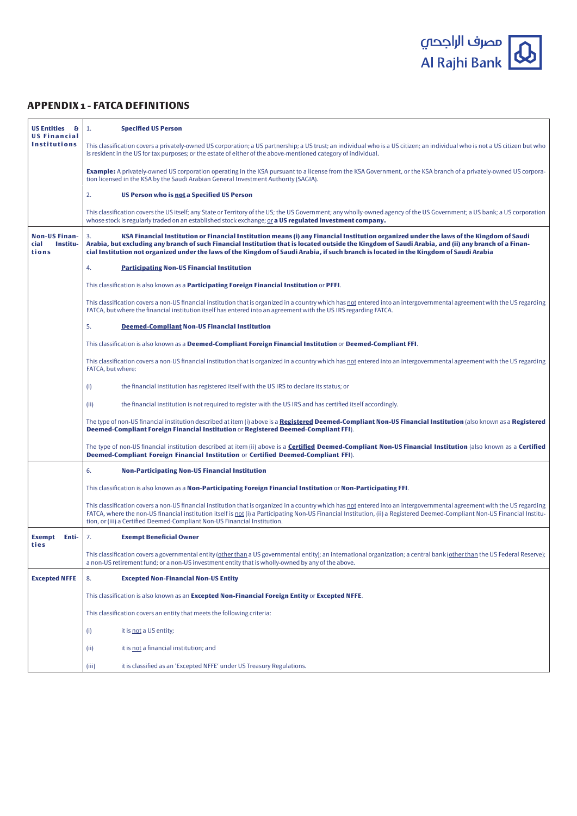

# **APPENDIX 1 - FATCA DEFINITIONS**

| <b>US Entities &amp;</b><br><b>US Financial</b>   | <b>Specified US Person</b><br>1.                                                                                                                                                                                                                                                                                                                                                                                                               |
|---------------------------------------------------|------------------------------------------------------------------------------------------------------------------------------------------------------------------------------------------------------------------------------------------------------------------------------------------------------------------------------------------------------------------------------------------------------------------------------------------------|
| <b>Institutions</b>                               | This classification covers a privately-owned US corporation; a US partnership; a US trust; an individual who is a US citizen; an individual who is not a US citizen but who<br>is resident in the US for tax purposes; or the estate of either of the above-mentioned category of individual.                                                                                                                                                  |
|                                                   | <b>Example:</b> A privately-owned US corporation operating in the KSA pursuant to a license from the KSA Government, or the KSA branch of a privately-owned US corpora-<br>tion licensed in the KSA by the Saudi Arabian General Investment Authority (SAGIA).                                                                                                                                                                                 |
|                                                   | 2.<br>US Person who is not a Specified US Person                                                                                                                                                                                                                                                                                                                                                                                               |
|                                                   | This classification covers the US itself; any State or Territory of the US; the US Government; any wholly-owned agency of the US Government; a US bank; a US corporation<br>whose stock is regularly traded on an established stock exchange; or a US regulated investment company.                                                                                                                                                            |
| <b>Non-US Finan-</b><br>cial<br>Institu-<br>tions | KSA Financial Institution or Financial Institution means (i) any Financial Institution organized under the laws of the Kingdom of Saudi<br>3.<br>Arabia, but excluding any branch of such Financial Institution that is located outside the Kingdom of Saudi Arabia, and (ii) any branch of a Finan-<br>cial Institution not organized under the laws of the Kingdom of Saudi Arabia, if such branch is located in the Kingdom of Saudi Arabia |
|                                                   | 4.<br><b>Participating Non-US Financial Institution</b>                                                                                                                                                                                                                                                                                                                                                                                        |
|                                                   | This classification is also known as a <b>Participating Foreign Financial Institution</b> or PFFI.                                                                                                                                                                                                                                                                                                                                             |
|                                                   | This classification covers a non-US financial institution that is organized in a country which has not entered into an intergovernmental agreement with the US regarding<br>FATCA, but where the financial institution itself has entered into an agreement with the US IRS regarding FATCA.                                                                                                                                                   |
|                                                   | 5.<br><b>Deemed-Compliant Non-US Financial Institution</b>                                                                                                                                                                                                                                                                                                                                                                                     |
|                                                   | This classification is also known as a Deemed-Compliant Foreign Financial Institution or Deemed-Compliant FFI.                                                                                                                                                                                                                                                                                                                                 |
|                                                   | This classification covers a non-US financial institution that is organized in a country which has not entered into an intergovernmental agreement with the US regarding<br>FATCA, but where:                                                                                                                                                                                                                                                  |
|                                                   | the financial institution has registered itself with the US IRS to declare its status; or<br>(i)                                                                                                                                                                                                                                                                                                                                               |
|                                                   | (ii)<br>the financial institution is not required to register with the US IRS and has certified itself accordingly.                                                                                                                                                                                                                                                                                                                            |
|                                                   | The type of non-US financial institution described at item (i) above is a Registered Deemed-Compliant Non-US Financial Institution (also known as a Registered<br>Deemed-Compliant Foreign Financial Institution or Registered Deemed-Compliant FFI).                                                                                                                                                                                          |
|                                                   | The type of non-US financial institution described at item (ii) above is a <b>Certified Deemed-Compliant Non-US Financial Institution</b> (also known as a <b>Certified</b><br>Deemed-Compliant Foreign Financial Institution or Certified Deemed-Compliant FFI).                                                                                                                                                                              |
|                                                   | 6.<br><b>Non-Participating Non-US Financial Institution</b>                                                                                                                                                                                                                                                                                                                                                                                    |
|                                                   | This classification is also known as a Non-Participating Foreign Financial Institution or Non-Participating FFI.                                                                                                                                                                                                                                                                                                                               |
|                                                   | This classification covers a non-US financial institution that is organized in a country which has not entered into an intergovernmental agreement with the US regarding<br>FATCA, where the non-US financial institution itself is not (i) a Participating Non-US Financial Institution, (ii) a Registered Deemed-Compliant Non-US Financial Institu-<br>tion, or (iii) a Certified Deemed-Compliant Non-US Financial Institution.            |
| Exempt<br>Enti-<br>ties                           | 7.<br><b>Exempt Beneficial Owner</b>                                                                                                                                                                                                                                                                                                                                                                                                           |
|                                                   | This classification covers a governmental entity ( <u>other than</u> a US governmental entity); an international organization; a central bank (other than the US Federal Reserve);<br>a non-US retirement fund; or a non-US investment entity that is wholly-owned by any of the above.                                                                                                                                                        |
| <b>Excepted NFFE</b>                              | <b>Excepted Non-Financial Non-US Entity</b><br>8.                                                                                                                                                                                                                                                                                                                                                                                              |
|                                                   | This classification is also known as an Excepted Non-Financial Foreign Entity or Excepted NFFE.                                                                                                                                                                                                                                                                                                                                                |
|                                                   | This classification covers an entity that meets the following criteria:                                                                                                                                                                                                                                                                                                                                                                        |
|                                                   | it is not a US entity;<br>(i)                                                                                                                                                                                                                                                                                                                                                                                                                  |
|                                                   | it is not a financial institution; and<br>(ii)                                                                                                                                                                                                                                                                                                                                                                                                 |
|                                                   | it is classified as an 'Excepted NFFE' under US Treasury Regulations.<br>(iii)                                                                                                                                                                                                                                                                                                                                                                 |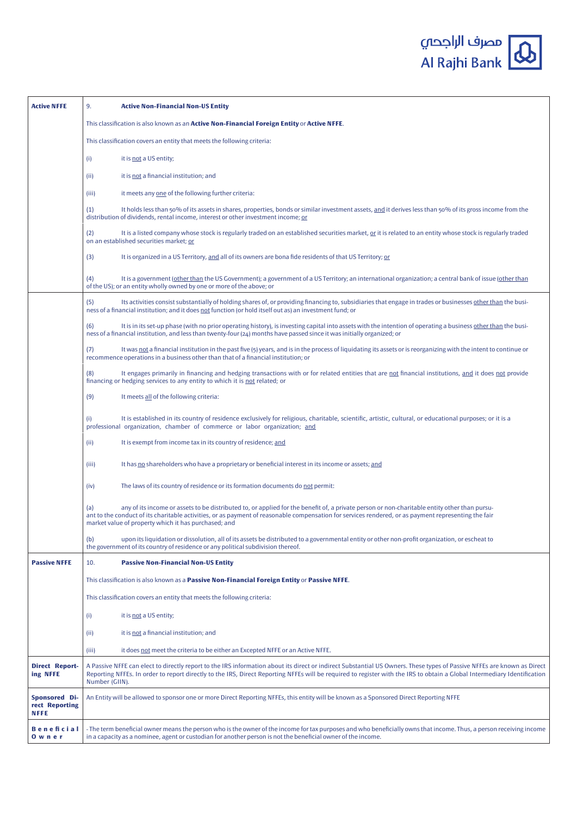| <b>Active NFFE</b>                             | 9.<br><b>Active Non-Financial Non-US Entity</b>                                                                                                                                                                                                                                                                                                                       |
|------------------------------------------------|-----------------------------------------------------------------------------------------------------------------------------------------------------------------------------------------------------------------------------------------------------------------------------------------------------------------------------------------------------------------------|
|                                                | This classification is also known as an Active Non-Financial Foreign Entity or Active NFFE.                                                                                                                                                                                                                                                                           |
|                                                | This classification covers an entity that meets the following criteria:                                                                                                                                                                                                                                                                                               |
|                                                | (i)<br>it is not a US entity;                                                                                                                                                                                                                                                                                                                                         |
|                                                | it is not a financial institution; and<br>(ii)                                                                                                                                                                                                                                                                                                                        |
|                                                | it meets any one of the following further criteria:<br>(iii)                                                                                                                                                                                                                                                                                                          |
|                                                | (1)<br>It holds less than 50% of its assets in shares, properties, bonds or similar investment assets, and it derives less than 50% of its gross income from the<br>distribution of dividends, rental income, interest or other investment income; or                                                                                                                 |
|                                                | It is a listed company whose stock is regularly traded on an established securities market, or it is related to an entity whose stock is regularly traded<br>(2)<br>on an established securities market; or                                                                                                                                                           |
|                                                | (3)<br>It is organized in a US Territory, and all of its owners are bona fide residents of that US Territory; or                                                                                                                                                                                                                                                      |
|                                                | It is a government (other than the US Government); a government of a US Territory; an international organization; a central bank of issue (other than<br>(4)<br>of the US); or an entity wholly owned by one or more of the above; or                                                                                                                                 |
|                                                | Its activities consist substantially of holding shares of, or providing financing to, subsidiaries that engage in trades or businesses other than the busi-<br>(5)<br>ness of a financial institution; and it does not function (or hold itself out as) an investment fund; or                                                                                        |
|                                                | It is in its set-up phase (with no prior operating history), is investing capital into assets with the intention of operating a business other than the busi-<br>(6)<br>ness of a financial institution, and less than twenty-four (24) months have passed since it was initially organized; or                                                                       |
|                                                | (7)<br>It was not a financial institution in the past five (5) years, and is in the process of liquidating its assets or is reorganizing with the intent to continue or<br>recommence operations in a business other than that of a financial institution; or                                                                                                         |
|                                                | It engages primarily in financing and hedging transactions with or for related entities that are not financial institutions, and it does not provide<br>(8)<br>financing or hedging services to any entity to which it is not related; or                                                                                                                             |
|                                                | (9)<br>It meets all of the following criteria:                                                                                                                                                                                                                                                                                                                        |
|                                                | It is established in its country of residence exclusively for religious, charitable, scientific, artistic, cultural, or educational purposes; or it is a<br>(i)<br>professional organization, chamber of commerce or labor organization; and                                                                                                                          |
|                                                | It is exempt from income tax in its country of residence; and<br>(ii)                                                                                                                                                                                                                                                                                                 |
|                                                | It has no shareholders who have a proprietary or beneficial interest in its income or assets; and<br>(iii)                                                                                                                                                                                                                                                            |
|                                                | The laws of its country of residence or its formation documents do not permit:<br>(iv)                                                                                                                                                                                                                                                                                |
|                                                | any of its income or assets to be distributed to, or applied for the benefit of, a private person or non-charitable entity other than pursu-<br>(a)<br>ant to the conduct of its charitable activities, or as payment of reasonable compensation for services rendered, or as payment representing the fair<br>market value of property which it has purchased; and   |
|                                                | (b)<br>upon its liquidation or dissolution, all of its assets be distributed to a governmental entity or other non-profit organization, or escheat to<br>the government of its country of residence or any political subdivision thereof.                                                                                                                             |
| <b>Passive NFFE</b>                            | 10.<br><b>Passive Non-Financial Non-US Entity</b>                                                                                                                                                                                                                                                                                                                     |
|                                                | This classification is also known as a Passive Non-Financial Foreign Entity or Passive NFFE.                                                                                                                                                                                                                                                                          |
|                                                | This classification covers an entity that meets the following criteria:                                                                                                                                                                                                                                                                                               |
|                                                | it is not a US entity;<br>(i)                                                                                                                                                                                                                                                                                                                                         |
|                                                | it is not a financial institution; and<br>(ii)                                                                                                                                                                                                                                                                                                                        |
|                                                | it does not meet the criteria to be either an Excepted NFFE or an Active NFFE.<br>(iii)                                                                                                                                                                                                                                                                               |
| <b>Direct Report-</b><br>ing NFFE              | A Passive NFFE can elect to directly report to the IRS information about its direct or indirect Substantial US Owners. These types of Passive NFFEs are known as Direct<br>Reporting NFFEs. In order to report directly to the IRS, Direct Reporting NFFEs will be required to register with the IRS to obtain a Global Intermediary Identification<br>Number (GIIN). |
| <b>Sponsored Di-</b><br>rect Reporting<br>NFFE | An Entity will be allowed to sponsor one or more Direct Reporting NFFEs, this entity will be known as a Sponsored Direct Reporting NFFE                                                                                                                                                                                                                               |
| Beneficial<br>Owner                            | - The term beneficial owner means the person who is the owner of the income for tax purposes and who beneficially owns that income. Thus, a person receiving income<br>in a capacity as a nominee, agent or custodian for another person is not the beneficial owner of the income.                                                                                   |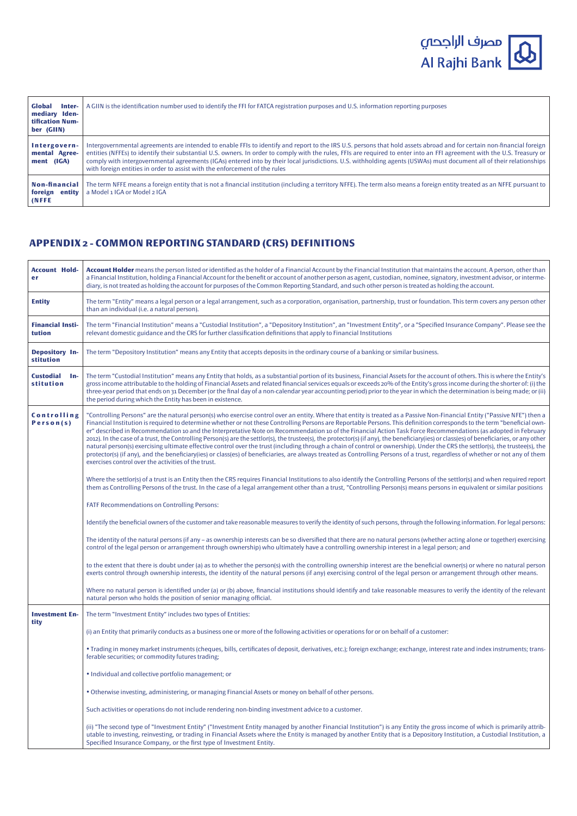

| <b>Global</b><br>Inter-<br>mediary Iden-<br>tification Num-<br>ber (GIIN) | A GIIN is the identification number used to identify the FFI for FATCA registration purposes and U.S. information reporting purposes                                                                                                                                                                                                                                                                                                                                                                                                                                                                    |
|---------------------------------------------------------------------------|---------------------------------------------------------------------------------------------------------------------------------------------------------------------------------------------------------------------------------------------------------------------------------------------------------------------------------------------------------------------------------------------------------------------------------------------------------------------------------------------------------------------------------------------------------------------------------------------------------|
| Intergovern-<br>mental Agree-<br>ment (IGA)                               | Intergovernmental agreements are intended to enable FFIs to identify and report to the IRS U.S. persons that hold assets abroad and for certain non-financial foreign<br>entities (NFFEs) to identify their substantial U.S. owners. In order to comply with the rules, FFIs are required to enter into an FFI agreement with the U.S. Treasury or<br>comply with intergovernmental agreements (IGAs) entered into by their local jurisdictions. U.S. withholding agents (USWAs) must document all of their relationships<br>with foreign entities in order to assist with the enforcement of the rules |
| <b>Non-financial</b><br>foreign entity<br>(NFFE                           | The term NFFE means a foreign entity that is not a financial institution (including a territory NFFE). The term also means a foreign entity treated as an NFFE pursuant to  <br>a Model 1 IGA or Model 2 IGA                                                                                                                                                                                                                                                                                                                                                                                            |

# **APPENDIX 2 - COMMON REPORTING STANDARD (CRS) DEFINITIONS**

| <b>Account Hold-</b><br>er             | Account Holder means the person listed or identified as the holder of a Financial Account by the Financial Institution that maintains the account. A person, other than<br>a Financial Institution, holding a Financial Account for the benefit or account of another person as agent, custodian, nominee, signatory, investment advisor, or interme-<br>diary, is not treated as holding the account for purposes of the Common Reporting Standard, and such other person is treated as holding the account.                                                                                                                                                                                                                                                                                                                                                                                                                                                                                                                                                                                                                                 |
|----------------------------------------|-----------------------------------------------------------------------------------------------------------------------------------------------------------------------------------------------------------------------------------------------------------------------------------------------------------------------------------------------------------------------------------------------------------------------------------------------------------------------------------------------------------------------------------------------------------------------------------------------------------------------------------------------------------------------------------------------------------------------------------------------------------------------------------------------------------------------------------------------------------------------------------------------------------------------------------------------------------------------------------------------------------------------------------------------------------------------------------------------------------------------------------------------|
| <b>Entity</b>                          | The term "Entity" means a legal person or a legal arrangement, such as a corporation, organisation, partnership, trust or foundation. This term covers any person other<br>than an individual (i.e. a natural person).                                                                                                                                                                                                                                                                                                                                                                                                                                                                                                                                                                                                                                                                                                                                                                                                                                                                                                                        |
| <b>Financial Insti-</b><br>tution      | The term "Financial Institution" means a "Custodial Institution", a "Depository Institution", an "Investment Entity", or a "Specified Insurance Company". Please see the<br>relevant domestic guidance and the CRS for further classification definitions that apply to Financial Institutions                                                                                                                                                                                                                                                                                                                                                                                                                                                                                                                                                                                                                                                                                                                                                                                                                                                |
| Depository In-<br>stitution            | The term "Depository Institution" means any Entity that accepts deposits in the ordinary course of a banking or similar business.                                                                                                                                                                                                                                                                                                                                                                                                                                                                                                                                                                                                                                                                                                                                                                                                                                                                                                                                                                                                             |
| <b>Custodial</b><br>$In-$<br>stitution | The term "Custodial Institution" means any Entity that holds, as a substantial portion of its business, Financial Assets for the account of others. This is where the Entity's<br>gross income attributable to the holding of Financial Assets and related financial services equals or exceeds 20% of the Entity's gross income during the shorter of: (i) the<br>three-year period that ends on 31 December (or the final day of a non-calendar year accounting period) prior to the year in which the determination is being made; or (ii)<br>the period during which the Entity has been in existence.                                                                                                                                                                                                                                                                                                                                                                                                                                                                                                                                    |
| Controlling<br>Person(s)               | "Controlling Persons" are the natural person(s) who exercise control over an entity. Where that entity is treated as a Passive Non-Financial Entity ("Passive NFE") then a<br>Financial Institution is required to determine whether or not these Controlling Persons are Reportable Persons. This definition corresponds to the term "beneficial own-<br>er" described in Recommendation 10 and the Interpretative Note on Recommendation 10 of the Financial Action Task Force Recommendations (as adopted in February<br>2012). In the case of a trust, the Controlling Person(s) are the settlor(s), the trustee(s), the protector(s) (if any), the beneficiary(ies) or class(es) of beneficiaries, or any other<br>natural person(s) exercising ultimate effective control over the trust (including through a chain of control or ownership). Under the CRS the settlor(s), the trustee(s), the<br>protector(s) (if any), and the beneficiary(ies) or class(es) of beneficiaries, are always treated as Controlling Persons of a trust, regardless of whether or not any of them<br>exercises control over the activities of the trust. |
|                                        | Where the settlor(s) of a trust is an Entity then the CRS requires Financial Institutions to also identify the Controlling Persons of the settlor(s) and when required report<br>them as Controlling Persons of the trust. In the case of a legal arrangement other than a trust, "Controlling Person(s) means persons in equivalent or similar positions                                                                                                                                                                                                                                                                                                                                                                                                                                                                                                                                                                                                                                                                                                                                                                                     |
|                                        | FATF Recommendations on Controlling Persons:                                                                                                                                                                                                                                                                                                                                                                                                                                                                                                                                                                                                                                                                                                                                                                                                                                                                                                                                                                                                                                                                                                  |
|                                        | Identify the beneficial owners of the customer and take reasonable measures to verify the identity of such persons, through the following information. For legal persons:                                                                                                                                                                                                                                                                                                                                                                                                                                                                                                                                                                                                                                                                                                                                                                                                                                                                                                                                                                     |
|                                        | The identity of the natural persons (if any - as ownership interests can be so diversified that there are no natural persons (whether acting alone or together) exercising<br>control of the legal person or arrangement through ownership) who ultimately have a controlling ownership interest in a legal person; and                                                                                                                                                                                                                                                                                                                                                                                                                                                                                                                                                                                                                                                                                                                                                                                                                       |
|                                        | to the extent that there is doubt under (a) as to whether the person(s) with the controlling ownership interest are the beneficial owner(s) or where no natural person<br>exerts control through ownership interests, the identity of the natural persons (if any) exercising control of the legal person or arrangement through other means.                                                                                                                                                                                                                                                                                                                                                                                                                                                                                                                                                                                                                                                                                                                                                                                                 |
|                                        | Where no natural person is identified under (a) or (b) above, financial institutions should identify and take reasonable measures to verify the identity of the relevant<br>natural person who holds the position of senior managing official.                                                                                                                                                                                                                                                                                                                                                                                                                                                                                                                                                                                                                                                                                                                                                                                                                                                                                                |
| <b>Investment En-</b>                  | The term "Investment Entity" includes two types of Entities:                                                                                                                                                                                                                                                                                                                                                                                                                                                                                                                                                                                                                                                                                                                                                                                                                                                                                                                                                                                                                                                                                  |
| tity                                   | (i) an Entity that primarily conducts as a business one or more of the following activities or operations for or on behalf of a customer:                                                                                                                                                                                                                                                                                                                                                                                                                                                                                                                                                                                                                                                                                                                                                                                                                                                                                                                                                                                                     |
|                                        | • Trading in money market instruments (cheques, bills, certificates of deposit, derivatives, etc.); foreign exchange; exchange, interest rate and index instruments; trans-<br>ferable securities; or commodity futures trading;                                                                                                                                                                                                                                                                                                                                                                                                                                                                                                                                                                                                                                                                                                                                                                                                                                                                                                              |
|                                        | . Individual and collective portfolio management; or                                                                                                                                                                                                                                                                                                                                                                                                                                                                                                                                                                                                                                                                                                                                                                                                                                                                                                                                                                                                                                                                                          |
|                                        | . Otherwise investing, administering, or managing Financial Assets or money on behalf of other persons.                                                                                                                                                                                                                                                                                                                                                                                                                                                                                                                                                                                                                                                                                                                                                                                                                                                                                                                                                                                                                                       |
|                                        | Such activities or operations do not include rendering non-binding investment advice to a customer.                                                                                                                                                                                                                                                                                                                                                                                                                                                                                                                                                                                                                                                                                                                                                                                                                                                                                                                                                                                                                                           |
|                                        | (ii) "The second type of "Investment Entity" ("Investment Entity managed by another Financial Institution") is any Entity the gross income of which is primarily attrib-<br>utable to investing, reinvesting, or trading in Financial Assets where the Entity is managed by another Entity that is a Depository Institution, a Custodial Institution, a<br>Specified Insurance Company, or the first type of Investment Entity.                                                                                                                                                                                                                                                                                                                                                                                                                                                                                                                                                                                                                                                                                                               |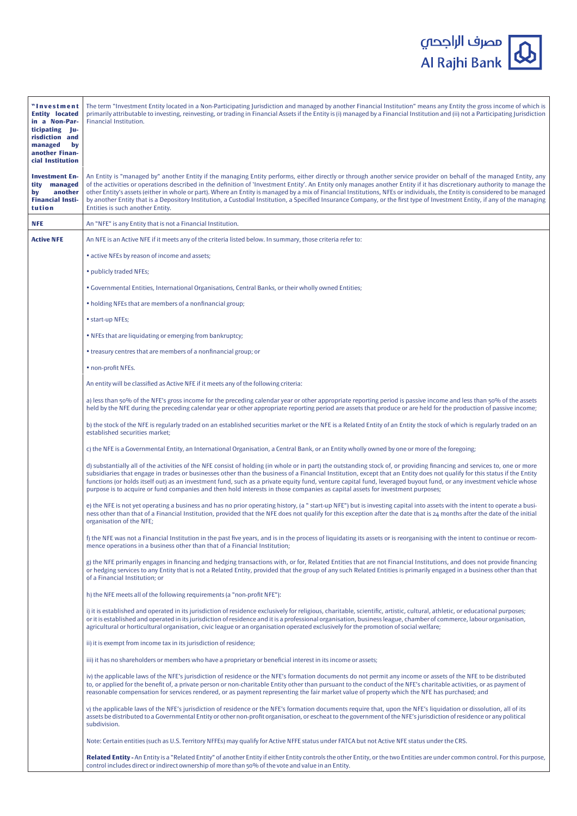| "Investment<br><b>Entity located</b><br>in a Non-Par-<br>ticipating Ju-<br>risdiction and<br>managed<br>by<br>another Finan-<br>cial Institution | The term "Investment Entity located in a Non-Participating Jurisdiction and managed by another Financial Institution" means any Entity the gross income of which is<br>primarily attributable to investing, reinvesting, or trading in Financial Assets if the Entity is (i) managed by a Financial Institution and (ii) not a Participating Jurisdiction<br>Financial Institution.                                                                                                                                                                                                                                                                                                                                                              |
|--------------------------------------------------------------------------------------------------------------------------------------------------|--------------------------------------------------------------------------------------------------------------------------------------------------------------------------------------------------------------------------------------------------------------------------------------------------------------------------------------------------------------------------------------------------------------------------------------------------------------------------------------------------------------------------------------------------------------------------------------------------------------------------------------------------------------------------------------------------------------------------------------------------|
| <b>Investment En-</b><br>tity<br>managed<br>another<br>by<br><b>Financial Insti-</b><br>tution                                                   | An Entity is "managed by" another Entity if the managing Entity performs, either directly or through another service provider on behalf of the managed Entity, any<br>of the activities or operations described in the definition of 'Investment Entity'. An Entity only manages another Entity if it has discretionary authority to manage the<br>other Entity's assets (either in whole or part). Where an Entity is managed by a mix of Financial Institutions, NFEs or individuals, the Entity is considered to be managed<br>by another Entity that is a Depository Institution, a Custodial Institution, a Specified Insurance Company, or the first type of Investment Entity, if any of the managing<br>Entities is such another Entity. |
| <b>NFE</b>                                                                                                                                       | An "NFE" is any Entity that is not a Financial Institution.                                                                                                                                                                                                                                                                                                                                                                                                                                                                                                                                                                                                                                                                                      |
| <b>Active NFE</b>                                                                                                                                | An NFE is an Active NFE if it meets any of the criteria listed below. In summary, those criteria refer to:                                                                                                                                                                                                                                                                                                                                                                                                                                                                                                                                                                                                                                       |
|                                                                                                                                                  | • active NFEs by reason of income and assets;                                                                                                                                                                                                                                                                                                                                                                                                                                                                                                                                                                                                                                                                                                    |
|                                                                                                                                                  | • publicly traded NFEs;                                                                                                                                                                                                                                                                                                                                                                                                                                                                                                                                                                                                                                                                                                                          |
|                                                                                                                                                  | • Governmental Entities, International Organisations, Central Banks, or their wholly owned Entities;                                                                                                                                                                                                                                                                                                                                                                                                                                                                                                                                                                                                                                             |
|                                                                                                                                                  | • holding NFEs that are members of a nonfinancial group;                                                                                                                                                                                                                                                                                                                                                                                                                                                                                                                                                                                                                                                                                         |
|                                                                                                                                                  | • start-up NFEs;                                                                                                                                                                                                                                                                                                                                                                                                                                                                                                                                                                                                                                                                                                                                 |
|                                                                                                                                                  | . NFEs that are liquidating or emerging from bankruptcy;                                                                                                                                                                                                                                                                                                                                                                                                                                                                                                                                                                                                                                                                                         |
|                                                                                                                                                  | • treasury centres that are members of a nonfinancial group; or                                                                                                                                                                                                                                                                                                                                                                                                                                                                                                                                                                                                                                                                                  |
|                                                                                                                                                  | • non-profit NFEs.                                                                                                                                                                                                                                                                                                                                                                                                                                                                                                                                                                                                                                                                                                                               |
|                                                                                                                                                  | An entity will be classified as Active NFE if it meets any of the following criteria:                                                                                                                                                                                                                                                                                                                                                                                                                                                                                                                                                                                                                                                            |
|                                                                                                                                                  | a) less than 50% of the NFE's gross income for the preceding calendar year or other appropriate reporting period is passive income and less than 50% of the assets<br>held by the NFE during the preceding calendar year or other appropriate reporting period are assets that produce or are held for the production of passive income;                                                                                                                                                                                                                                                                                                                                                                                                         |
|                                                                                                                                                  | b) the stock of the NFE is regularly traded on an established securities market or the NFE is a Related Entity of an Entity the stock of which is regularly traded on an<br>established securities market;                                                                                                                                                                                                                                                                                                                                                                                                                                                                                                                                       |
|                                                                                                                                                  | c) the NFE is a Governmental Entity, an International Organisation, a Central Bank, or an Entity wholly owned by one or more of the foregoing;                                                                                                                                                                                                                                                                                                                                                                                                                                                                                                                                                                                                   |
|                                                                                                                                                  | d) substantially all of the activities of the NFE consist of holding (in whole or in part) the outstanding stock of, or providing financing and services to, one or more<br>subsidiaries that engage in trades or businesses other than the business of a Financial Institution, except that an Entity does not qualify for this status if the Entity<br>functions (or holds itself out) as an investment fund, such as a private equity fund, venture capital fund, leveraged buyout fund, or any investment vehicle whose<br>purpose is to acquire or fund companies and then hold interests in those companies as capital assets for investment purposes;                                                                                     |
|                                                                                                                                                  | e) the NFE is not yet operating a business and has no prior operating history, (a "start-up NFE") but is investing capital into assets with the intent to operate a busi-<br>ness other than that of a Financial Institution, provided that the NFE does not qualify for this exception after the date that is 24 months after the date of the initial<br>organisation of the NFE;                                                                                                                                                                                                                                                                                                                                                               |
|                                                                                                                                                  | f) the NFE was not a Financial Institution in the past five years, and is in the process of liquidating its assets or is reorganising with the intent to continue or recom-<br>mence operations in a business other than that of a Financial Institution;                                                                                                                                                                                                                                                                                                                                                                                                                                                                                        |
|                                                                                                                                                  | g) the NFE primarily engages in financing and hedging transactions with, or for, Related Entities that are not Financial Institutions, and does not provide financing<br>or hedging services to any Entity that is not a Related Entity, provided that the group of any such Related Entities is primarily engaged in a business other than that<br>of a Financial Institution; or                                                                                                                                                                                                                                                                                                                                                               |
|                                                                                                                                                  | h) the NFE meets all of the following requirements (a "non-profit NFE"):                                                                                                                                                                                                                                                                                                                                                                                                                                                                                                                                                                                                                                                                         |
|                                                                                                                                                  | i) it is established and operated in its jurisdiction of residence exclusively for religious, charitable, scientific, artistic, cultural, athletic, or educational purposes;<br>or it is established and operated in its jurisdiction of residence and it is a professional organisation, business league, chamber of commerce, labour organisation,<br>agricultural or horticultural organisation, civic league or an organisation operated exclusively for the promotion of social welfare;                                                                                                                                                                                                                                                    |
|                                                                                                                                                  | ii) it is exempt from income tax in its jurisdiction of residence;                                                                                                                                                                                                                                                                                                                                                                                                                                                                                                                                                                                                                                                                               |
|                                                                                                                                                  | iii) it has no shareholders or members who have a proprietary or beneficial interest in its income or assets;                                                                                                                                                                                                                                                                                                                                                                                                                                                                                                                                                                                                                                    |
|                                                                                                                                                  | iv) the applicable laws of the NFE's jurisdiction of residence or the NFE's formation documents do not permit any income or assets of the NFE to be distributed<br>to, or applied for the benefit of, a private person or non-charitable Entity other than pursuant to the conduct of the NFE's charitable activities, or as payment of<br>reasonable compensation for services rendered, or as payment representing the fair market value of property which the NFE has purchased; and                                                                                                                                                                                                                                                          |
|                                                                                                                                                  | v) the applicable laws of the NFE's jurisdiction of residence or the NFE's formation documents require that, upon the NFE's liquidation or dissolution, all of its<br>assets be distributed to a Governmental Entity or other non-profit organisation, or escheat to the government of the NFE's jurisdiction of residence or any political<br>subdivision.                                                                                                                                                                                                                                                                                                                                                                                      |
|                                                                                                                                                  | Note: Certain entities (such as U.S. Territory NFFEs) may qualify for Active NFFE status under FATCA but not Active NFE status under the CRS.                                                                                                                                                                                                                                                                                                                                                                                                                                                                                                                                                                                                    |
|                                                                                                                                                  | Related Entity - An Entity is a "Related Entity" of another Entity if either Entity controls the other Entity, or the two Entities are under common control. For this purpose,<br>control includes direct or indirect ownership of more than 50% of the vote and value in an Entity.                                                                                                                                                                                                                                                                                                                                                                                                                                                             |